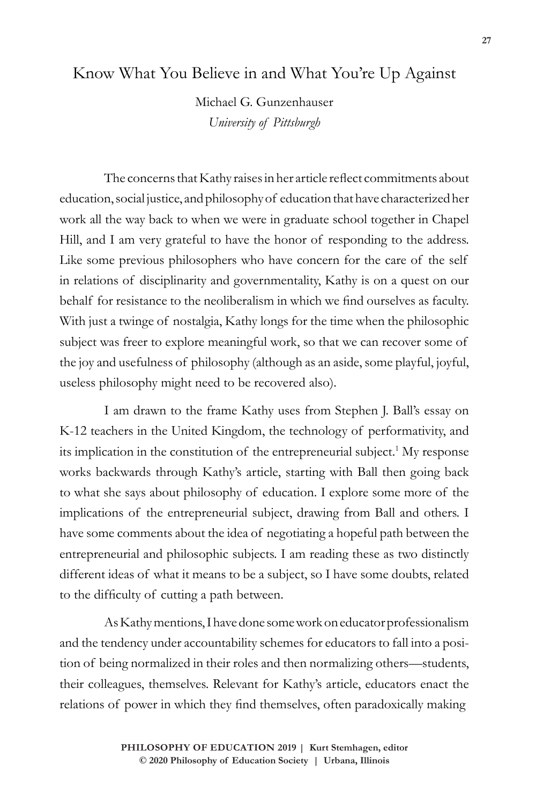## Know What You Believe in and What You're Up Against

Michael G. Gunzenhauser *University of Pittsburgh*

The concerns that Kathy raises in her article reflect commitments about education, social justice, and philosophy of education that have characterized her work all the way back to when we were in graduate school together in Chapel Hill, and I am very grateful to have the honor of responding to the address. Like some previous philosophers who have concern for the care of the self in relations of disciplinarity and governmentality, Kathy is on a quest on our behalf for resistance to the neoliberalism in which we find ourselves as faculty. With just a twinge of nostalgia, Kathy longs for the time when the philosophic subject was freer to explore meaningful work, so that we can recover some of the joy and usefulness of philosophy (although as an aside, some playful, joyful, useless philosophy might need to be recovered also).

I am drawn to the frame Kathy uses from Stephen J. Ball's essay on K-12 teachers in the United Kingdom, the technology of performativity, and its implication in the constitution of the entrepreneurial subject.<sup>1</sup> My response works backwards through Kathy's article, starting with Ball then going back to what she says about philosophy of education. I explore some more of the implications of the entrepreneurial subject, drawing from Ball and others. I have some comments about the idea of negotiating a hopeful path between the entrepreneurial and philosophic subjects. I am reading these as two distinctly different ideas of what it means to be a subject, so I have some doubts, related to the difficulty of cutting a path between.

As Kathy mentions, I have done some work on educator professionalism and the tendency under accountability schemes for educators to fall into a position of being normalized in their roles and then normalizing others—students, their colleagues, themselves. Relevant for Kathy's article, educators enact the relations of power in which they find themselves, often paradoxically making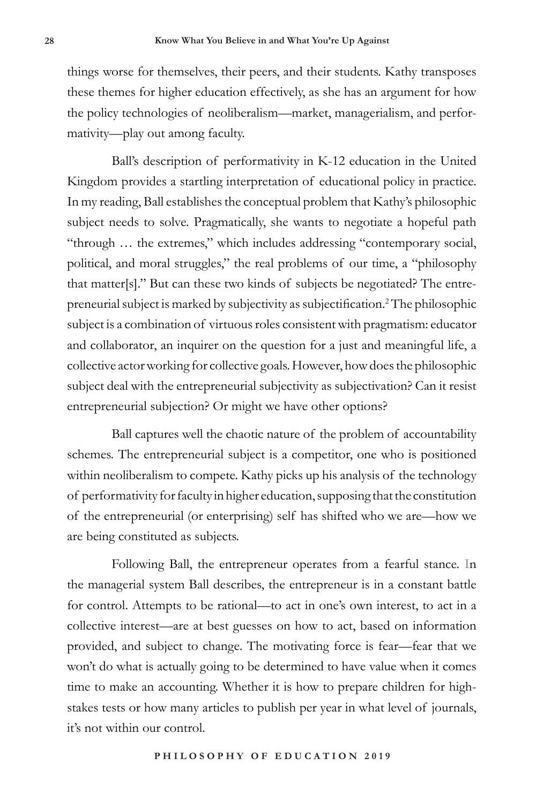things worse for themselves, their peers, and their students. Kathy transposes these themes for higher education effectively, as she has an argument for how the policy technologies of neoliberalism—market, managerialism, and performativity—play out among faculty.

Ball's description of performativity in K-12 education in the United Kingdom provides a startling interpretation of educational policy in practice. In my reading, Ball establishes the conceptual problem that Kathy's philosophic subject needs to solve. Pragmatically, she wants to negotiate a hopeful path "through … the extremes," which includes addressing "contemporary social, political, and moral struggles," the real problems of our time, a "philosophy that matter[s]." But can these two kinds of subjects be negotiated? The entrepreneurial subject is marked by subjectivity as subjectification.<sup>2</sup> The philosophic subject is a combination of virtuous roles consistent with pragmatism: educator and collaborator, an inquirer on the question for a just and meaningful life, a collective actor working for collective goals. However, how does the philosophic subject deal with the entrepreneurial subjectivity as subjectivation? Can it resist entrepreneurial subjection? Or might we have other options?

Ball captures well the chaotic nature of the problem of accountability schemes. The entrepreneurial subject is a competitor, one who is positioned within neoliberalism to compete. Kathy picks up his analysis of the technology of performativity for faculty in higher education, supposing that the constitution of the entrepreneurial (or enterprising) self has shifted who we are—how we are being constituted as subjects.

Following Ball, the entrepreneur operates from a fearful stance. In the managerial system Ball describes, the entrepreneur is in a constant battle for control. Attempts to be rational—to act in one's own interest, to act in a collective interest—are at best guesses on how to act, based on information provided, and subject to change. The motivating force is fear—fear that we won't do what is actually going to be determined to have value when it comes time to make an accounting. Whether it is how to prepare children for highstakes tests or how many articles to publish per year in what level of journals, it's not within our control.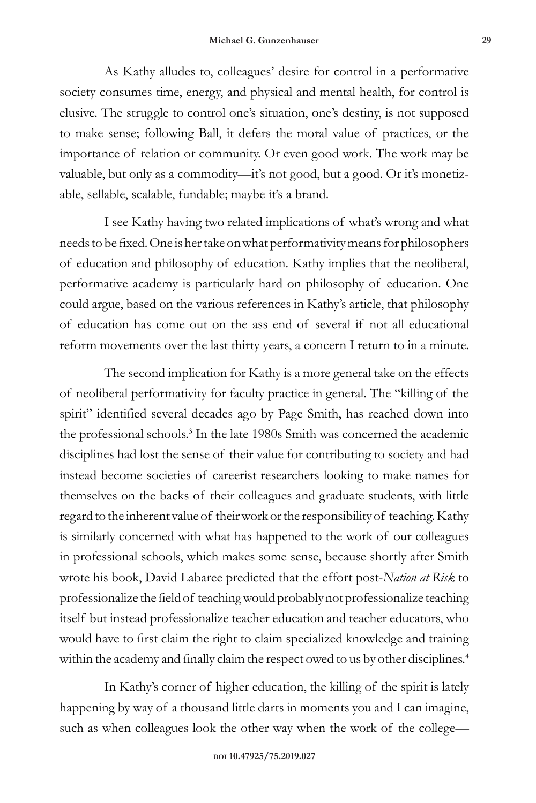As Kathy alludes to, colleagues' desire for control in a performative society consumes time, energy, and physical and mental health, for control is elusive. The struggle to control one's situation, one's destiny, is not supposed to make sense; following Ball, it defers the moral value of practices, or the importance of relation or community. Or even good work. The work may be valuable, but only as a commodity—it's not good, but a good. Or it's monetizable, sellable, scalable, fundable; maybe it's a brand.

I see Kathy having two related implications of what's wrong and what needs to be fixed. One is her take on what performativity means for philosophers of education and philosophy of education. Kathy implies that the neoliberal, performative academy is particularly hard on philosophy of education. One could argue, based on the various references in Kathy's article, that philosophy of education has come out on the ass end of several if not all educational reform movements over the last thirty years, a concern I return to in a minute.

The second implication for Kathy is a more general take on the effects of neoliberal performativity for faculty practice in general. The "killing of the spirit" identified several decades ago by Page Smith, has reached down into the professional schools.<sup>3</sup> In the late 1980s Smith was concerned the academic disciplines had lost the sense of their value for contributing to society and had instead become societies of careerist researchers looking to make names for themselves on the backs of their colleagues and graduate students, with little regard to the inherent value of their work or the responsibility of teaching. Kathy is similarly concerned with what has happened to the work of our colleagues in professional schools, which makes some sense, because shortly after Smith wrote his book, David Labaree predicted that the effort post-*Nation at Risk* to professionalize the field of teaching would probably not professionalize teaching itself but instead professionalize teacher education and teacher educators, who would have to first claim the right to claim specialized knowledge and training within the academy and finally claim the respect owed to us by other disciplines.<sup>4</sup>

In Kathy's corner of higher education, the killing of the spirit is lately happening by way of a thousand little darts in moments you and I can imagine, such as when colleagues look the other way when the work of the college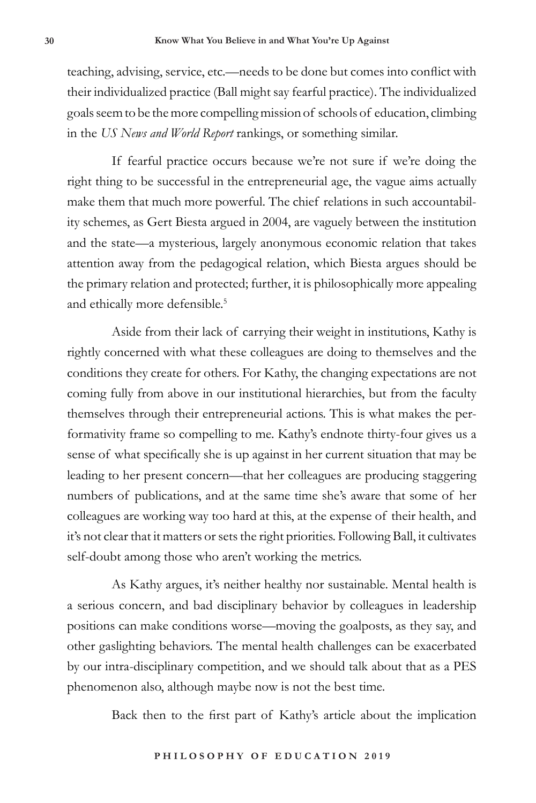teaching, advising, service, etc.—needs to be done but comes into conflict with their individualized practice (Ball might say fearful practice). The individualized goals seem to be the more compelling mission of schools of education, climbing in the *US News and World Report* rankings, or something similar.

If fearful practice occurs because we're not sure if we're doing the right thing to be successful in the entrepreneurial age, the vague aims actually make them that much more powerful. The chief relations in such accountability schemes, as Gert Biesta argued in 2004, are vaguely between the institution and the state—a mysterious, largely anonymous economic relation that takes attention away from the pedagogical relation, which Biesta argues should be the primary relation and protected; further, it is philosophically more appealing and ethically more defensible.<sup>5</sup>

Aside from their lack of carrying their weight in institutions, Kathy is rightly concerned with what these colleagues are doing to themselves and the conditions they create for others. For Kathy, the changing expectations are not coming fully from above in our institutional hierarchies, but from the faculty themselves through their entrepreneurial actions. This is what makes the performativity frame so compelling to me. Kathy's endnote thirty-four gives us a sense of what specifically she is up against in her current situation that may be leading to her present concern—that her colleagues are producing staggering numbers of publications, and at the same time she's aware that some of her colleagues are working way too hard at this, at the expense of their health, and it's not clear that it matters or sets the right priorities. Following Ball, it cultivates self-doubt among those who aren't working the metrics.

As Kathy argues, it's neither healthy nor sustainable. Mental health is a serious concern, and bad disciplinary behavior by colleagues in leadership positions can make conditions worse—moving the goalposts, as they say, and other gaslighting behaviors. The mental health challenges can be exacerbated by our intra-disciplinary competition, and we should talk about that as a PES phenomenon also, although maybe now is not the best time.

Back then to the first part of Kathy's article about the implication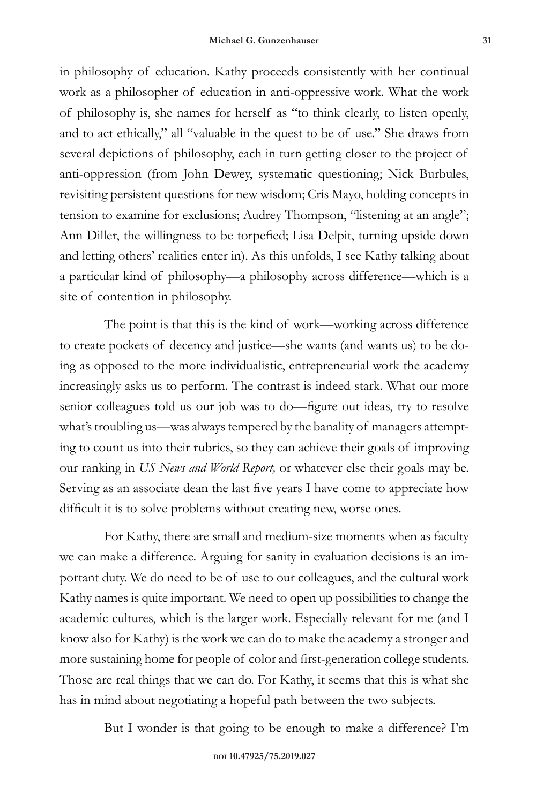in philosophy of education. Kathy proceeds consistently with her continual work as a philosopher of education in anti-oppressive work. What the work of philosophy is, she names for herself as "to think clearly, to listen openly, and to act ethically," all "valuable in the quest to be of use." She draws from several depictions of philosophy, each in turn getting closer to the project of anti-oppression (from John Dewey, systematic questioning; Nick Burbules, revisiting persistent questions for new wisdom; Cris Mayo, holding concepts in tension to examine for exclusions; Audrey Thompson, "listening at an angle"; Ann Diller, the willingness to be torpefied; Lisa Delpit, turning upside down and letting others' realities enter in). As this unfolds, I see Kathy talking about a particular kind of philosophy—a philosophy across difference—which is a site of contention in philosophy.

The point is that this is the kind of work—working across difference to create pockets of decency and justice—she wants (and wants us) to be doing as opposed to the more individualistic, entrepreneurial work the academy increasingly asks us to perform. The contrast is indeed stark. What our more senior colleagues told us our job was to do—figure out ideas, try to resolve what's troubling us—was always tempered by the banality of managers attempting to count us into their rubrics, so they can achieve their goals of improving our ranking in *US News and World Report,* or whatever else their goals may be. Serving as an associate dean the last five years I have come to appreciate how difficult it is to solve problems without creating new, worse ones.

For Kathy, there are small and medium-size moments when as faculty we can make a difference. Arguing for sanity in evaluation decisions is an important duty. We do need to be of use to our colleagues, and the cultural work Kathy names is quite important. We need to open up possibilities to change the academic cultures, which is the larger work. Especially relevant for me (and I know also for Kathy) is the work we can do to make the academy a stronger and more sustaining home for people of color and first-generation college students. Those are real things that we can do. For Kathy, it seems that this is what she has in mind about negotiating a hopeful path between the two subjects.

But I wonder is that going to be enough to make a difference? I'm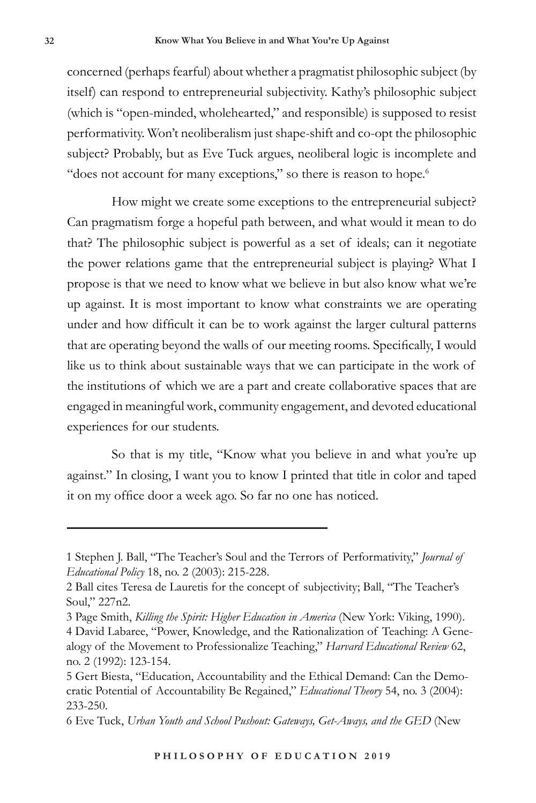concerned (perhaps fearful) about whether a pragmatist philosophic subject (by itself) can respond to entrepreneurial subjectivity. Kathy's philosophic subject (which is "open-minded, wholehearted," and responsible) is supposed to resist performativity. Won't neoliberalism just shape-shift and co-opt the philosophic subject? Probably, but as Eve Tuck argues, neoliberal logic is incomplete and "does not account for many exceptions," so there is reason to hope.<sup>6</sup>

How might we create some exceptions to the entrepreneurial subject? Can pragmatism forge a hopeful path between, and what would it mean to do that? The philosophic subject is powerful as a set of ideals; can it negotiate the power relations game that the entrepreneurial subject is playing? What I propose is that we need to know what we believe in but also know what we're up against. It is most important to know what constraints we are operating under and how difficult it can be to work against the larger cultural patterns that are operating beyond the walls of our meeting rooms. Specifically, I would like us to think about sustainable ways that we can participate in the work of the institutions of which we are a part and create collaborative spaces that are engaged in meaningful work, community engagement, and devoted educational experiences for our students.

So that is my title, "Know what you believe in and what you're up against." In closing, I want you to know I printed that title in color and taped it on my office door a week ago. So far no one has noticed.

<sup>1</sup> Stephen J. Ball, "The Teacher's Soul and the Terrors of Performativity," *Journal of Educational Policy* 18, no. 2 (2003): 215-228.

<sup>2</sup> Ball cites Teresa de Lauretis for the concept of subjectivity; Ball, "The Teacher's Soul," 227n2.

<sup>3</sup> Page Smith, *Killing the Spirit: Higher Education in America* (New York: Viking, 1990). 4 David Labaree, "Power, Knowledge, and the Rationalization of Teaching: A Genealogy of the Movement to Professionalize Teaching," *Harvard Educational Review* 62, no. 2 (1992): 123-154.

<sup>5</sup> Gert Biesta, "Education, Accountability and the Ethical Demand: Can the Democratic Potential of Accountability Be Regained," *Educational Theory* 54, no. 3 (2004): 233-250.

<sup>6</sup> Eve Tuck, *Urban Youth and School Pushout: Gateways, Get-Aways, and the GED* (New